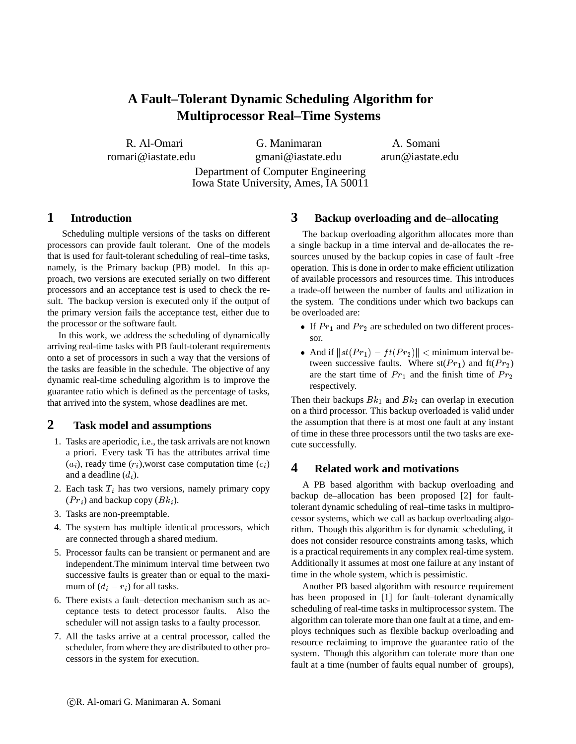# **A Fault–Tolerant Dynamic Scheduling Algorithm for Multiprocessor Real–Time Systems**

R. Al-Omari G. Manimaran A. Somani romari@iastate.edu gmani@iastate.edu arun@iastate.edu Department of Computer Engineering Iowa State University, Ames, IA 50011

## **1 Introduction**

Scheduling multiple versions of the tasks on different processors can provide fault tolerant. One of the models that is used for fault-tolerant scheduling of real–time tasks, namely, is the Primary backup (PB) model. In this approach, two versions are executed serially on two different processors and an acceptance test is used to check the result. The backup version is executed only if the output of the primary version fails the acceptance test, either due to the processor or the software fault.

In this work, we address the scheduling of dynamically arriving real-time tasks with PB fault-tolerant requirements onto a set of processors in such a way that the versions of the tasks are feasible in the schedule. The objective of any dynamic real-time scheduling algorithm is to improve the guarantee ratio which is defined as the percentage of tasks, that arrived into the system, whose deadlines are met.

# **2 Task model and assumptions**

- 1. Tasks are aperiodic, i.e., the task arrivals are not known a priori. Every task Ti has the attributes arrival time  $(a_i)$ , ready time  $(r_i)$ , worst case computation time  $(c_i)$ and a deadline  $(d_i)$ .
- 2. Each task  $T_i$  has two versions, namely primary copy  $(Pr_i)$  and backup copy  $(Bk_i)$ .
- 3. Tasks are non-preemptable.
- 4. The system has multiple identical processors, which are connected through a shared medium.
- 5. Processor faults can be transient or permanent and are independent.The minimum interval time between two successive faults is greater than or equal to the maximum of  $(d_i - r_i)$  for all tasks.
- 6. There exists a fault–detection mechanism such as acceptance tests to detect processor faults. Also the scheduler will not assign tasks to a faulty processor.
- 7. All the tasks arrive at a central processor, called the scheduler, from where they are distributed to other processors in the system for execution.

### **3 Backup overloading and de–allocating**

The backup overloading algorithm allocates more than a single backup in a time interval and de-allocates the resources unused by the backup copies in case of fault -free operation. This is done in order to make efficient utilization of available processors and resources time. This introduces a trade-off between the number of faults and utilization in the system. The conditions under which two backups can be overloaded are:

- If  $Pr_1$  and  $Pr_2$  are scheduled on two different processor.
- And if  $||st(Pr_1) ft(Pr_2)|| <$  minimum interval between successive faults. Where  $st(Pr_1)$  and  $ft(Pr_2)$ are the start time of  $Pr_1$  and the finish time of  $Pr_2$ respectively.

Then their backups  $Bk_1$  and  $Bk_2$  can overlap in execution on a third processor. This backup overloaded is valid under the assumption that there is at most one fault at any instant of time in these three processors until the two tasks are execute successfully.

#### **4 Related work and motivations**

A PB based algorithm with backup overloading and backup de–allocation has been proposed [2] for faulttolerant dynamic scheduling of real–time tasks in multiprocessor systems, which we call as backup overloading algorithm. Though this algorithm is for dynamic scheduling, it does not consider resource constraints among tasks, which is a practical requirements in any complex real-time system. Additionally it assumes at most one failure at any instant of time in the whole system, which is pessimistic.

Another PB based algorithm with resource requirement has been proposed in [1] for fault–tolerant dynamically scheduling of real-time tasks in multiprocessor system. The algorithm can tolerate more than one fault at a time, and employs techniques such as flexible backup overloading and resource reclaiming to improve the guarantee ratio of the system. Though this algorithm can tolerate more than one fault at a time (number of faults equal number of groups),